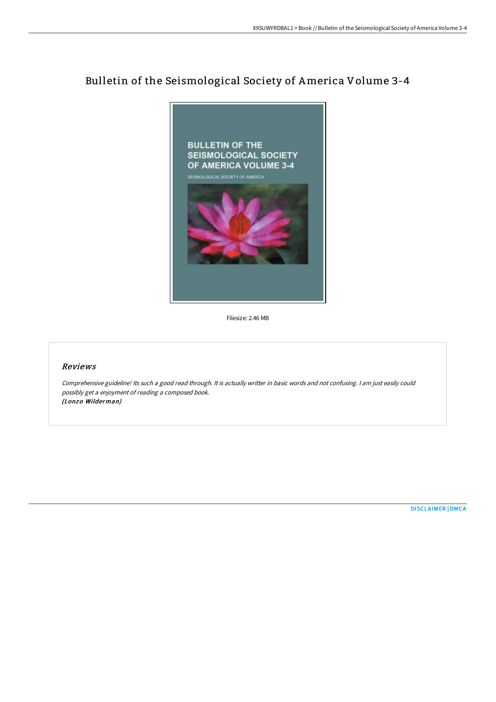# Bulletin of the Seismological Society of America Volume 3-4



Filesize: 2.46 MB

#### Reviews

Comprehensive guideline! Its such <sup>a</sup> good read through. It is actually writter in basic words and not confusing. <sup>I</sup> am just easily could possibly get <sup>a</sup> enjoyment of reading <sup>a</sup> composed book. (Lonzo Wilderman)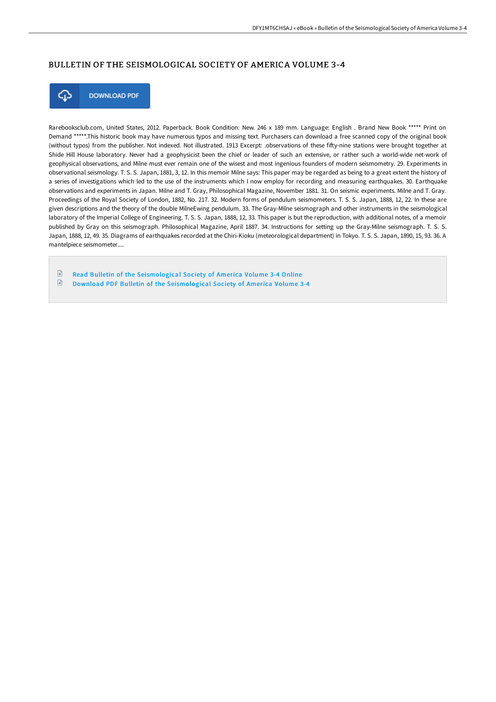### BULLETIN OF THE SEISMOLOGICAL SOCIETY OF AMERICA VOLUME 3-4



**DOWNLOAD PDF** 

Rarebooksclub.com, United States, 2012. Paperback. Book Condition: New. 246 x 189 mm. Language: English . Brand New Book \*\*\*\*\* Print on Demand \*\*\*\*\*.This historic book may have numerous typos and missing text. Purchasers can download a free scanned copy of the original book (without typos) from the publisher. Not indexed. Not illustrated. 1913 Excerpt: .observations of these fifty-nine stations were brought together at Shide Hill House laboratory. Never had a geophysicist been the chief or leader of such an extensive, or rather such a world-wide net-work of geophysical observations, and Milne must ever remain one of the wisest and most ingenious founders of modern seismometry. 29. Experiments in observational seismology. T. S. S. Japan, 1881, 3, 12. In this memoir Milne says: This paper may be regarded as being to a great extent the history of a series of investigations which led to the use of the instruments which I now employ for recording and measuring earthquakes. 30. Earthquake observations and experiments in Japan. Milne and T. Gray, Philosophical Magazine, November 1881. 31. On seismic experiments. Milne and T. Gray. Proceedings of the Royal Society of London, 1882, No. 217. 32. Modern forms of pendulum seismometers. T. S. S. Japan, 1888, 12, 22. In these are given descriptions and the theory of the double MilneEwing pendulum. 33. The Gray-Milne seismograph and other instruments in the seismological laboratory of the Imperial College of Engineering. T. S. S. Japan, 1888, 12, 33. This paper is but the reproduction, with additional notes, of a memoir published by Gray on this seismograph. Philosophical Magazine, April 1887. 34. Instructions for setting up the Gray-Milne seismograph. T. S. S. Japan, 1888, 12, 49. 35. Diagrams of earthquakes recorded at the Chiri-Kioku (meteorological department) in Tokyo. T. S. S. Japan, 1890, 15, 93. 36. A mantelpiece seismometer....

 $\mathbb{R}$ Read Bulletin of the [Seismological](http://techno-pub.tech/bulletin-of-the-seismological-society-of-america.html) Society of America Volume 3-4 Online  $\begin{array}{c} \hline \end{array}$ Download PDF Bulletin of the [Seismological](http://techno-pub.tech/bulletin-of-the-seismological-society-of-america.html) Society of America Volume 3-4